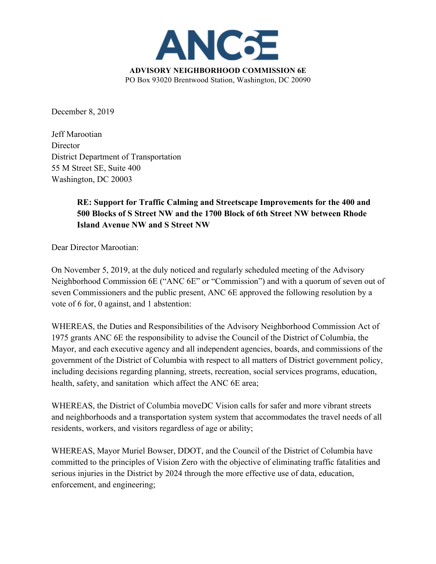

December 8, 2019

Jeff Marootian **Director** District Department of Transportation 55 M Street SE, Suite 400 Washington, DC 20003

## **RE: Support for Traffic Calming and Streetscape Improvements for the 400 and 500 Blocks of S Street NW and the 1700 Block of 6th Street NW between Rhode Island Avenue NW and S Street NW**

Dear Director Marootian:

On November 5, 2019, at the duly noticed and regularly scheduled meeting of the Advisory Neighborhood Commission 6E ("ANC 6E" or "Commission") and with a quorum of seven out of seven Commissioners and the public present, ANC 6E approved the following resolution by a vote of 6 for, 0 against, and 1 abstention:

WHEREAS, the Duties and Responsibilities of the Advisory Neighborhood Commission Act of 1975 grants ANC 6E the responsibility to advise the Council of the District of Columbia, the Mayor, and each executive agency and all independent agencies, boards, and commissions of the government of the District of Columbia with respect to all matters of District government policy, including decisions regarding planning, streets, recreation, social services programs, education, health, safety, and sanitation which affect the ANC 6E area;

WHEREAS, the District of Columbia moveDC Vision calls for safer and more vibrant streets and neighborhoods and a transportation system system that accommodates the travel needs of all residents, workers, and visitors regardless of age or ability;

WHEREAS, Mayor Muriel Bowser, DDOT, and the Council of the District of Columbia have committed to the principles of Vision Zero with the objective of eliminating traffic fatalities and serious injuries in the District by 2024 through the more effective use of data, education, enforcement, and engineering;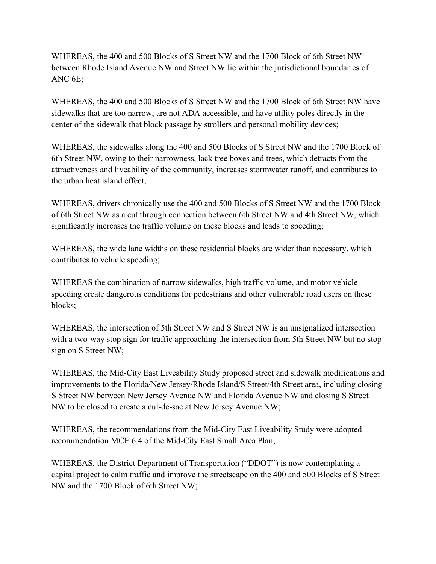WHEREAS, the 400 and 500 Blocks of S Street NW and the 1700 Block of 6th Street NW between Rhode Island Avenue NW and Street NW lie within the jurisdictional boundaries of ANC 6E;

WHEREAS, the 400 and 500 Blocks of S Street NW and the 1700 Block of 6th Street NW have sidewalks that are too narrow, are not ADA accessible, and have utility poles directly in the center of the sidewalk that block passage by strollers and personal mobility devices;

WHEREAS, the sidewalks along the 400 and 500 Blocks of S Street NW and the 1700 Block of 6th Street NW, owing to their narrowness, lack tree boxes and trees, which detracts from the attractiveness and liveability of the community, increases stormwater runoff, and contributes to the urban heat island effect;

WHEREAS, drivers chronically use the 400 and 500 Blocks of S Street NW and the 1700 Block of 6th Street NW as a cut through connection between 6th Street NW and 4th Street NW, which significantly increases the traffic volume on these blocks and leads to speeding;

WHEREAS, the wide lane widths on these residential blocks are wider than necessary, which contributes to vehicle speeding;

WHEREAS the combination of narrow sidewalks, high traffic volume, and motor vehicle speeding create dangerous conditions for pedestrians and other vulnerable road users on these blocks;

WHEREAS, the intersection of 5th Street NW and S Street NW is an unsignalized intersection with a two-way stop sign for traffic approaching the intersection from 5th Street NW but no stop sign on S Street NW;

WHEREAS, the Mid-City East Liveability Study proposed street and sidewalk modifications and improvements to the Florida/New Jersey/Rhode Island/S Street/4th Street area, including closing S Street NW between New Jersey Avenue NW and Florida Avenue NW and closing S Street NW to be closed to create a cul-de-sac at New Jersey Avenue NW;

WHEREAS, the recommendations from the Mid-City East Liveability Study were adopted recommendation MCE 6.4 of the Mid-City East Small Area Plan;

WHEREAS, the District Department of Transportation ("DDOT") is now contemplating a capital project to calm traffic and improve the streetscape on the 400 and 500 Blocks of S Street NW and the 1700 Block of 6th Street NW;